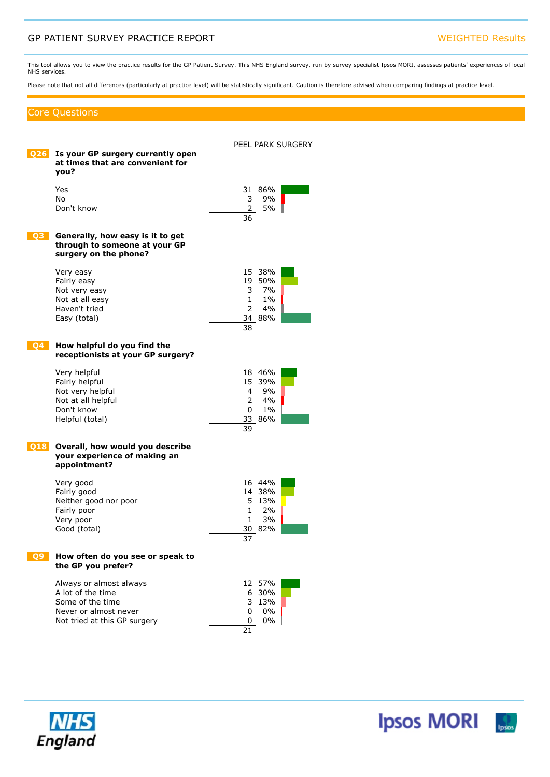## GP PATIENT SURVEY PRACTICE REPORT WEIGHTED Results

This tool allows you to view the practice results for the GP Patient Survey. This NHS England survey, run by survey specialist Ipsos MORI, assesses patients' experiences of local NHS services.

Please note that not all differences (particularly at practice level) will be statistically significant. Caution is therefore advised when comparing findings at practice level.

### Core Questions

| 026 | Is your GP surgery currently open<br>at times that are convenient for<br>vou?                                             | PEEL PARK SURGERY                                                                            |
|-----|---------------------------------------------------------------------------------------------------------------------------|----------------------------------------------------------------------------------------------|
|     | Yes<br>No.<br>Don't know                                                                                                  | 31 86%<br>9%<br>3<br>$\mathbf{2}^{\prime}$<br>5%<br>36                                       |
|     | Generally, how easy is it to get<br>through to someone at your GP<br>surgery on the phone?                                |                                                                                              |
|     | Very easy<br>Fairly easy<br>Not very easy<br>Not at all easy<br>Haven't tried<br>Easy (total)                             | 15 38%<br>19 50%<br>3<br>7%<br>$1\%$<br>$\mathbf{1}$<br>$\overline{2}$<br>4%<br>34 88%<br>38 |
| 04  | How helpful do you find the<br>receptionists at your GP surgery?                                                          |                                                                                              |
|     | Very helpful<br>Fairly helpful<br>Not very helpful<br>Not at all helpful<br>Don't know<br>Helpful (total)                 | 18 46%<br>15 39%<br>9%<br>4<br>$\overline{2}$<br>4%<br>$1\%$<br>0<br>33 86%<br>39            |
| 018 | Overall, how would you describe<br>your experience of making an<br>appointment?                                           |                                                                                              |
|     | Very good<br>Fairly good<br>Neither good nor poor<br>Fairly poor<br>Very poor<br>Good (total)                             | 16 44%<br>14 38%<br>5 13%<br>$\mathbf{1}$<br>2%<br>3%<br>$\mathbf{1}$<br>30 82%<br>37        |
|     | v often do you see or speak to<br>the GP you prefer?                                                                      |                                                                                              |
|     | Always or almost always<br>A lot of the time<br>Some of the time<br>Never or almost never<br>Not tried at this GP surgery | 12 57%<br>6 30%<br>3<br>13%<br>$0\%$<br>0<br>0%<br>0<br>21                                   |

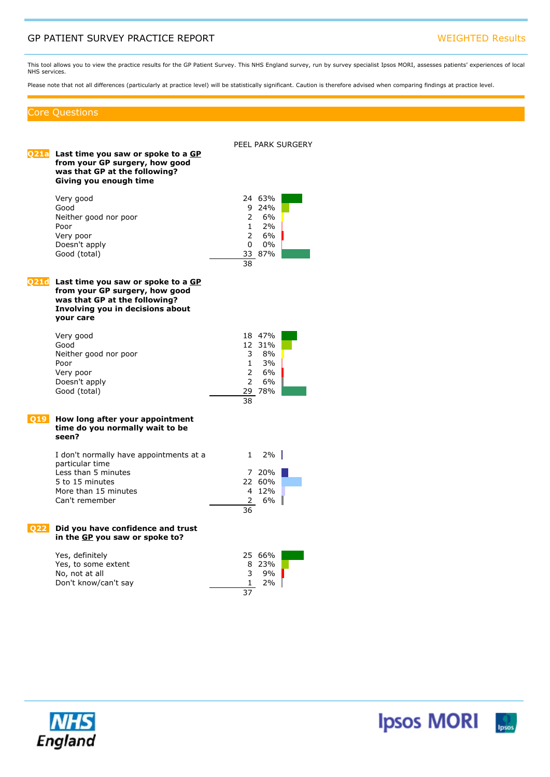## GP PATIENT SURVEY PRACTICE REPORT NETWORK IN THE SERVICE OF PATIENT SURVEY PRACTICE REPORT

This tool allows you to view the practice results for the GP Patient Survey. This NHS England survey, run by survey specialist Ipsos MORI, assesses patients' experiences of local NHS services.

Please note that not all differences (particularly at practice level) will be statistically significant. Caution is therefore advised when comparing findings at practice level.

### Core Questions

PEEL PARK SURGERY **Q21a Last time you saw or spoke to <sup>a</sup> GP from your GP surgery, how good was that GP at the following? Giving you enough time** Very good 24 63% Good 9 24% Neither good nor poor  $2 \t 6\%$ <br>Poor  $1 \t 2\%$ Poor 1 2% Very poor 2 6% Doesn't apply 0 0% Good (total) 33 87%  $\overline{38}$ **Q21d Last time you saw or spoke to <sup>a</sup> GP from your GP surgery, how good was that GP at the following? Involving you in decisions about your care** Very good 18 47% and 18 47% and 18 47% and 18 47% and 18 47% and 18 47% and 18 47% and 18 50  $\pm$ 12 31% Neither good nor poor 3 8%<br>Poor 3 3% Poor 1 3% Very poor 2 6% Doesn't apply 2 6% Good (total) 38 **Q19 How long after your appointment time do you normally wait to be seen?** I don't normally have appointments at <sup>a</sup> particular time  $1 \quad 2\%$ Less than 5 minutes 7 20% 5 to 15 minutes 22 60% More than 15 minutes 4 12% Can't remember 2 6% 36 **Q22 Did you have confidence and trust in the GP you saw or spoke to?** Yes, definitely 25 66% Yes, to some extent 8 23%<br>
No. not at all 8 3 9% No, not at all  $\begin{array}{ccc} 3 & 9\% \\ \text{Don't know/can't say} & & 1 & 2\% \end{array}$ Don't know/can't say 1

37